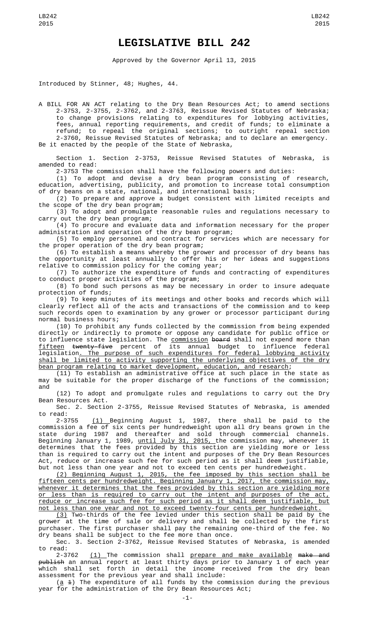## **LEGISLATIVE BILL 242**

Approved by the Governor April 13, 2015

Introduced by Stinner, 48; Hughes, 44.

A BILL FOR AN ACT relating to the Dry Bean Resources Act; to amend sections 2-3753, 2-3755, 2-3762, and 2-3763, Reissue Revised Statutes of Nebraska; to change provisions relating to expenditures for lobbying activities, fees, annual reporting requirements, and credit of funds; to eliminate a refund; to repeal the original sections; to outright repeal section 2-3760, Reissue Revised Statutes of Nebraska; and to declare an emergency. Be it enacted by the people of the State of Nebraska,

Section 1. Section 2-3753, Reissue Revised Statutes of Nebraska, is amended to read:

2-3753 The commission shall have the following powers and duties:

(1) To adopt and devise a dry bean program consisting of research, education, advertising, publicity, and promotion to increase total consumption of dry beans on a state, national, and international basis;

(2) To prepare and approve a budget consistent with limited receipts and the scope of the dry bean program;

(3) To adopt and promulgate reasonable rules and regulations necessary to carry out the dry bean program;

(4) To procure and evaluate data and information necessary for the proper administration and operation of the dry bean program;

(5) To employ personnel and contract for services which are necessary for the proper operation of the dry bean program;

(6) To establish a means whereby the grower and processor of dry beans has the opportunity at least annually to offer his or her ideas and suggestions relative to commission policy for the coming year;

(7) To authorize the expenditure of funds and contracting of expenditures to conduct proper activities of the program;

(8) To bond such persons as may be necessary in order to insure adequate protection of funds;

(9) To keep minutes of its meetings and other books and records which will clearly reflect all of the acts and transactions of the commission and to keep such records open to examination by any grower or processor participant during normal business hours;

(10) To prohibit any funds collected by the commission from being expended directly or indirectly to promote or oppose any candidate for public office or to influence state legislation. The <u>commission</u> <del>board</del> shall not expend more than fifteen twenty-five percent of its annual budget to influence federal legislation. The purpose of such expenditures for federal lobbying activity shall be limited to activity supporting the underlying objectives of the dry bean program relating to market development, education, and research;

(11) To establish an administrative office at such place in the state as may be suitable for the proper discharge of the functions of the commission; and

(12) To adopt and promulgate rules and regulations to carry out the Dry Bean Resources Act.

Sec. 2. Section 2-3755, Reissue Revised Statutes of Nebraska, is amended to read:

2-3755 (1) Beginning August 1, 1987, there shall be paid to the commission a fee of six cents per hundredweight upon all dry beans grown in the state during 1987 and thereafter and sold through commercial channels. Beginning January 1, 1989, <u>until July 31, 2015, </u>the commission may, whenever it determines that the fees provided by this section are yielding more or less than is required to carry out the intent and purposes of the Dry Bean Resources Act, reduce or increase such fee for such period as it shall deem justifiable, but not less than one year and not to exceed ten cents per hundredweight.

(2) Beginning August 1, 2015, the fee imposed by this section shall be fifteen cents per hundredweight. Beginning January 1, 2017, the commission may, whenever it determines that the fees provided by this section are yielding more or less than is required to carry out the intent and purposes of the act, reduce or increase such fee for such period as it shall deem justifiable, but not less than one year and not to exceed twenty-four cents per hundredweight.

(3) Two-thirds of the fee levied under this section shall be paid by the grower at the time of sale or delivery and shall be collected by the first purchaser. The first purchaser shall pay the remaining one-third of the fee. No dry beans shall be subject to the fee more than once.

Sec. 3. Section 2-3762, Reissue Revised Statutes of Nebraska, is amended to read:

2-3762 <u>(1) </u>The commission shall <u>prepare and make available</u> <del>make and</del> publish an annual report at least thirty days prior to January 1 of each year which shall set forth in detail the income received from the dry bean assessment for the previous year and shall include:

( $\underline{a}$   $\underline{+}$ ) The expenditure of all funds by the commission during the previous year for the administration of the Dry Bean Resources Act;